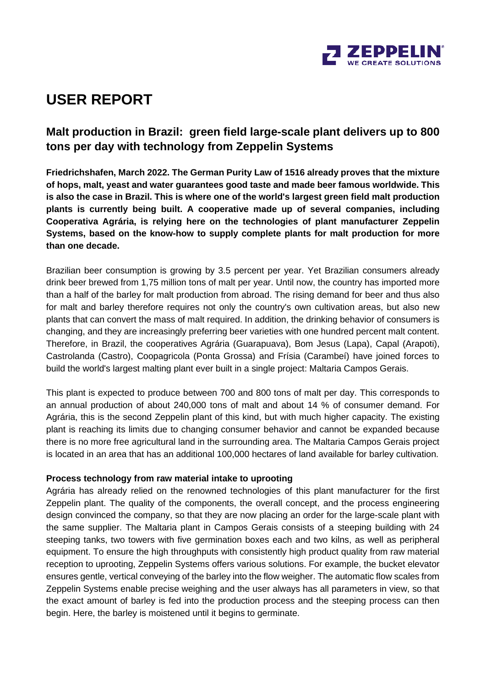

# **USER REPORT**

### **Malt production in Brazil: green field large-scale plant delivers up to 800 tons per day with technology from Zeppelin Systems**

**Friedrichshafen, March 2022. The German Purity Law of 1516 already proves that the mixture of hops, malt, yeast and water guarantees good taste and made beer famous worldwide. This is also the case in Brazil. This is where one of the world's largest green field malt production plants is currently being built. A cooperative made up of several companies, including Cooperativa Agrária, is relying here on the technologies of plant manufacturer Zeppelin Systems, based on the know-how to supply complete plants for malt production for more than one decade.** 

Brazilian beer consumption is growing by 3.5 percent per year. Yet Brazilian consumers already drink beer brewed from 1,75 million tons of malt per year. Until now, the country has imported more than a half of the barley for malt production from abroad. The rising demand for beer and thus also for malt and barley therefore requires not only the country's own cultivation areas, but also new plants that can convert the mass of malt required. In addition, the drinking behavior of consumers is changing, and they are increasingly preferring beer varieties with one hundred percent malt content. Therefore, in Brazil, the cooperatives Agrária (Guarapuava), Bom Jesus (Lapa), Capal (Arapoti), Castrolanda (Castro), Coopagricola (Ponta Grossa) and Frísia (Carambeí) have joined forces to build the world's largest malting plant ever built in a single project: Maltaria Campos Gerais.

This plant is expected to produce between 700 and 800 tons of malt per day. This corresponds to an annual production of about 240,000 tons of malt and about 14 % of consumer demand. For Agrária, this is the second Zeppelin plant of this kind, but with much higher capacity. The existing plant is reaching its limits due to changing consumer behavior and cannot be expanded because there is no more free agricultural land in the surrounding area. The Maltaria Campos Gerais project is located in an area that has an additional 100,000 hectares of land available for barley cultivation.

#### **Process technology from raw material intake to uprooting**

Agrária has already relied on the renowned technologies of this plant manufacturer for the first Zeppelin plant. The quality of the components, the overall concept, and the process engineering design convinced the company, so that they are now placing an order for the large-scale plant with the same supplier. The Maltaria plant in Campos Gerais consists of a steeping building with 24 steeping tanks, two towers with five germination boxes each and two kilns, as well as peripheral equipment. To ensure the high throughputs with consistently high product quality from raw material reception to uprooting, Zeppelin Systems offers various solutions. For example, the bucket elevator ensures gentle, vertical conveying of the barley into the flow weigher. The automatic flow scales from Zeppelin Systems enable precise weighing and the user always has all parameters in view, so that the exact amount of barley is fed into the production process and the steeping process can then begin. Here, the barley is moistened until it begins to germinate.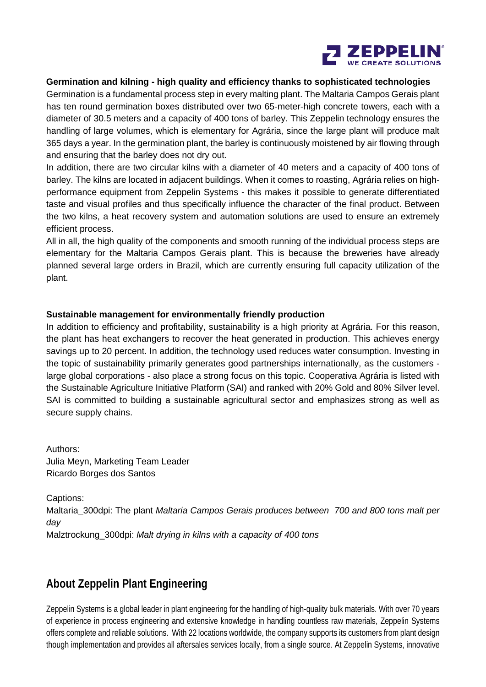

#### **Germination and kilning - high quality and efficiency thanks to sophisticated technologies**

Germination is a fundamental process step in every malting plant. The Maltaria Campos Gerais plant has ten round germination boxes distributed over two 65-meter-high concrete towers, each with a diameter of 30.5 meters and a capacity of 400 tons of barley. This Zeppelin technology ensures the handling of large volumes, which is elementary for Agrária, since the large plant will produce malt 365 days a year. In the germination plant, the barley is continuously moistened by air flowing through and ensuring that the barley does not dry out.

In addition, there are two circular kilns with a diameter of 40 meters and a capacity of 400 tons of barley. The kilns are located in adjacent buildings. When it comes to roasting, Agrária relies on highperformance equipment from Zeppelin Systems - this makes it possible to generate differentiated taste and visual profiles and thus specifically influence the character of the final product. Between the two kilns, a heat recovery system and automation solutions are used to ensure an extremely efficient process.

All in all, the high quality of the components and smooth running of the individual process steps are elementary for the Maltaria Campos Gerais plant. This is because the breweries have already planned several large orders in Brazil, which are currently ensuring full capacity utilization of the plant.

#### **Sustainable management for environmentally friendly production**

In addition to efficiency and profitability, sustainability is a high priority at Agrária. For this reason, the plant has heat exchangers to recover the heat generated in production. This achieves energy savings up to 20 percent. In addition, the technology used reduces water consumption. Investing in the topic of sustainability primarily generates good partnerships internationally, as the customers large global corporations - also place a strong focus on this topic. Cooperativa Agrária is listed with the Sustainable Agriculture Initiative Platform (SAI) and ranked with 20% Gold and 80% Silver level. SAI is committed to building a sustainable agricultural sector and emphasizes strong as well as secure supply chains.

Authors: Julia Meyn, Marketing Team Leader Ricardo Borges dos Santos

Captions:

Maltaria\_300dpi: The plant *Maltaria Campos Gerais produces between 700 and 800 tons malt per day* 

Malztrockung\_300dpi: *Malt drying in kilns with a capacity of 400 tons*

### **About Zeppelin Plant Engineering**

Zeppelin Systems is a global leader in plant engineering for the handling of high-quality bulk materials. With over 70 years of experience in process engineering and extensive knowledge in handling countless raw materials, Zeppelin Systems offers complete and reliable solutions. With 22 locations worldwide, the company supports its customers from plant design though implementation and provides all aftersales services locally, from a single source. At Zeppelin Systems, innovative